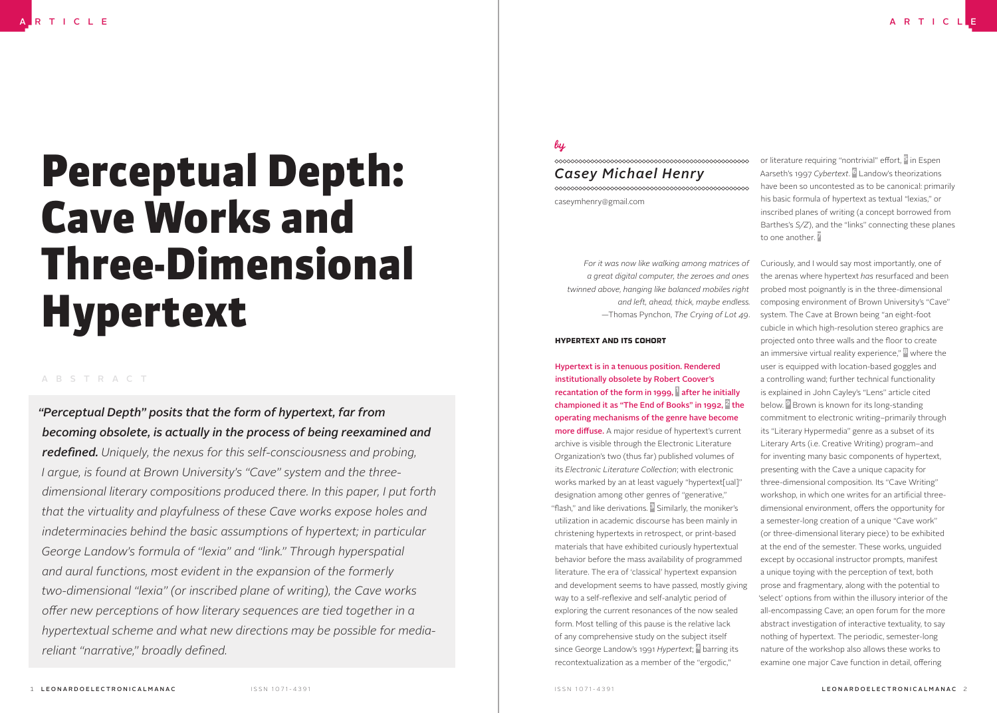# Perceptual Depth: Cave Works and Three-Dimensional Hypertext

#### ABSTRACT

*"Perceptual Depth" posits that the form of hypertext, far from becoming obsolete, is actually in the process of being reexamined and redefined. Uniquely, the nexus for this self-consciousness and probing, I argue, is found at Brown University's "Cave" system and the threedimensional literary compositions produced there. In this paper, I put forth that the virtuality and playfulness of these Cave works expose holes and indeterminacies behind the basic assumptions of hypertext; in particular George Landow's formula of "lexia" and "link." Through hyperspatial and aural functions, most evident in the expansion of the formerly two-dimensional "lexia" (or inscribed plane of writing), the Cave works offer new perceptions of how literary sequences are tied together in a hypertextual scheme and what new directions may be possible for mediareliant "narrative," broadly defined.*

## bu

### *Casey Michael Henry* caseymhenry@gmail.com

*For it was now like walking among matrices of a great digital computer, the zeroes and ones twinned above, hanging like balanced mobiles right and left, ahead, thick, maybe endless.* —Thomas Pynchon, *The Crying of Lot 49*.

#### HYPERTEXT AND ITS COHORT

Hypertext is in a tenuous position. Rendered institutionally obsolete by Robert Coover's recantation of the form in 1999,  $\parallel$  after he initially championed it as "The End of Books" in 1992,  $\frac{3}{2}$  the operating mechanisms of the genre have become more diffuse. A major residue of hypertext's current

archive is visible through the Electronic Literature Organization's two (thus far) published volumes of its *Electronic Literature Collection*; with electronic works marked by an at least vaguely "hypertext[ual]" designation among other genres of "generative," "flash," and like derivations.  $3$  Similarly, the moniker's utilization in academic discourse has been mainly in christening hypertexts in retrospect, or print-based materials that have exhibited curiously hypertextual behavior before the mass availability of programmed literature. The era of 'classical' hypertext expansion and development seems to have passed, mostly giving way to a self-reflexive and self-analytic period of exploring the current resonances of the now sealed form. Most telling of this pause is the relative lack of any comprehensive study on the subject itself since George Landow's 1991 *Hypertext*; 4 barring its recontextualization as a member of the "ergodic,"

or literature requiring "nontrivial" effort, <sup>5</sup> in Espen Aarseth's 1997 *Cybertext*. 6 Landow's theorizations have been so uncontested as to be canonical: primarily his basic formula of hypertext as textual "lexias," or inscribed planes of writing (a concept borrowed from Barthes's *S/Z*), and the "links" connecting these planes to one another.

Curiously, and I would say most importantly, one of the arenas where hypertext *has* resurfaced and been probed most poignantly is in the three-dimensional composing environment of Brown University's "Cave" system. The Cave at Brown being "an eight-foot cubicle in which high-resolution stereo graphics are projected onto three walls and the floor to create an immersive virtual reality experience," 8 where the user is equipped with location-based goggles and a controlling wand; further technical functionality is explained in John Cayley's "Lens" article cited below. <sup>9</sup> Brown is known for its long-standing commitment to electronic writing–primarily through its "Literary Hypermedia" genre as a subset of its Literary Arts (i.e. Creative Writing) program–and for inventing many basic components of hypertext, presenting with the Cave a unique capacity for three-dimensional composition. Its "Cave Writing" workshop, in which one writes for an artificial threedimensional environment, offers the opportunity for a semester-long creation of a unique "Cave work" (or three-dimensional literary piece) to be exhibited at the end of the semester. These works, unguided except by occasional instructor prompts, manifest a unique toying with the perception of text, both prose and fragmentary, along with the potential to 'select' options from within the illusory interior of the all-encompassing Cave; an open forum for the more abstract investigation of interactive textuality, to say nothing of hypertext. The periodic, semester-long nature of the workshop also allows these works to examine one major Cave function in detail, offering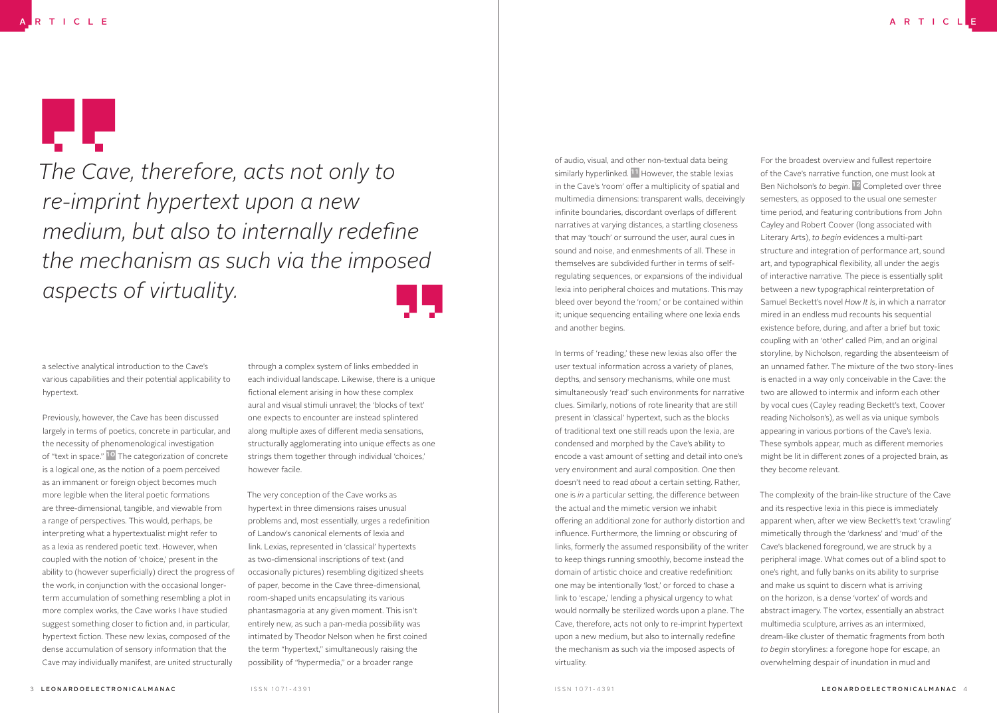# лb.

*The Cave, therefore, acts not only to re-imprint hypertext upon a new medium, but also to internally redefine the mechanism as such via the imposed aspects of virtuality.*

a selective analytical introduction to the Cave's various capabilities and their potential applicability to hypertext.

Previously, however, the Cave has been discussed largely in terms of poetics, concrete in particular, and the necessity of phenomenological investigation of "text in space." <sup>10</sup> The categorization of concrete is a logical one, as the notion of a poem perceived as an immanent or foreign object becomes much more legible when the literal poetic formations are three-dimensional, tangible, and viewable from a range of perspectives. This would, perhaps, be interpreting what a hypertextualist might refer to as a lexia as rendered poetic text. However, when coupled with the notion of 'choice,' present in the ability to (however superficially) direct the progress of the work, in conjunction with the occasional longerterm accumulation of something resembling a plot in more complex works, the Cave works I have studied suggest something closer to fiction and, in particular, hypertext fiction. These new lexias, composed of the dense accumulation of sensory information that the Cave may individually manifest, are united structurally

through a complex system of links embedded in each individual landscape. Likewise, there is a unique fictional element arising in how these complex aural and visual stimuli unravel; the 'blocks of text' one expects to encounter are instead splintered along multiple axes of different media sensations, structurally agglomerating into unique effects as one strings them together through individual 'choices,' however facile.

The very conception of the Cave works as hypertext in three dimensions raises unusual problems and, most essentially, urges a redefinition of Landow's canonical elements of lexia and link. Lexias, represented in 'classical' hypertexts as two-dimensional inscriptions of text (and occasionally pictures) resembling digitized sheets of paper, become in the Cave three-dimensional, room-shaped units encapsulating its various phantasmagoria at any given moment. This isn't entirely new, as such a pan-media possibility was intimated by Theodor Nelson when he first coined the term "hypertext," simultaneously raising the possibility of "hypermedia," or a broader range

of audio, visual, and other non-textual data being similarly hyperlinked.<sup>11</sup> However, the stable lexias in the Cave's 'room' offer a multiplicity of spatial and multimedia dimensions: transparent walls, deceivingly infinite boundaries, discordant overlaps of different narratives at varying distances, a startling closeness that may 'touch' or surround the user, aural cues in sound and noise, and enmeshments of all. These in themselves are subdivided further in terms of selfregulating sequences, or expansions of the individual lexia into peripheral choices and mutations. This may bleed over beyond the 'room,' or be contained within it; unique sequencing entailing where one lexia ends and another begins.

In terms of 'reading,' these new lexias also offer the user textual information across a variety of planes, depths, and sensory mechanisms, while one must simultaneously 'read' such environments for narrative clues. Similarly, notions of rote linearity that are still present in 'classical' hypertext, such as the blocks of traditional text one still reads upon the lexia, are condensed and morphed by the Cave's ability to encode a vast amount of setting and detail into one's very environment and aural composition. One then doesn't need to read *about* a certain setting. Rather, one is *in* a particular setting, the difference between the actual and the mimetic version we inhabit offering an additional zone for authorly distortion and influence. Furthermore, the limning or obscuring of links, formerly the assumed responsibility of the writer to keep things running smoothly, become instead the domain of artistic choice and creative redefinition: one may be intentionally 'lost,' or forced to chase a link to 'escape,' lending a physical urgency to what would normally be sterilized words upon a plane. The Cave, therefore, acts not only to re-imprint hypertext upon a new medium, but also to internally redefine the mechanism as such via the imposed aspects of virtuality.

For the broadest overview and fullest repertoire of the Cave's narrative function, one must look at Ben Nicholson's *to begin*. 12 Completed over three semesters, as opposed to the usual one semester time period, and featuring contributions from John Cayley and Robert Coover (long associated with Literary Arts), *to begin* evidences a multi-part structure and integration of performance art, sound art, and typographical flexibility, all under the aegis of interactive narrative. The piece is essentially split between a new typographical reinterpretation of Samuel Beckett's novel *How It Is*, in which a narrator mired in an endless mud recounts his sequential existence before, during, and after a brief but toxic coupling with an 'other' called Pim, and an original storyline, by Nicholson, regarding the absenteeism of an unnamed father. The mixture of the two story-lines is enacted in a way only conceivable in the Cave: the two are allowed to intermix and inform each other by vocal cues (Cayley reading Beckett's text, Coover reading Nicholson's), as well as via unique symbols appearing in various portions of the Cave's lexia. These symbols appear, much as different memories might be lit in different zones of a projected brain, as they become relevant.

The complexity of the brain-like structure of the Cave and its respective lexia in this piece is immediately apparent when, after we view Beckett's text 'crawling' mimetically through the 'darkness' and 'mud' of the Cave's blackened foreground, we are struck by a peripheral image. What comes out of a blind spot to one's right, and fully banks on its ability to surprise and make us squint to discern what is arriving on the horizon, is a dense 'vortex' of words and abstract imagery. The vortex, essentially an abstract multimedia sculpture, arrives as an intermixed, dream-like cluster of thematic fragments from both *to begin* storylines: a foregone hope for escape, an overwhelming despair of inundation in mud and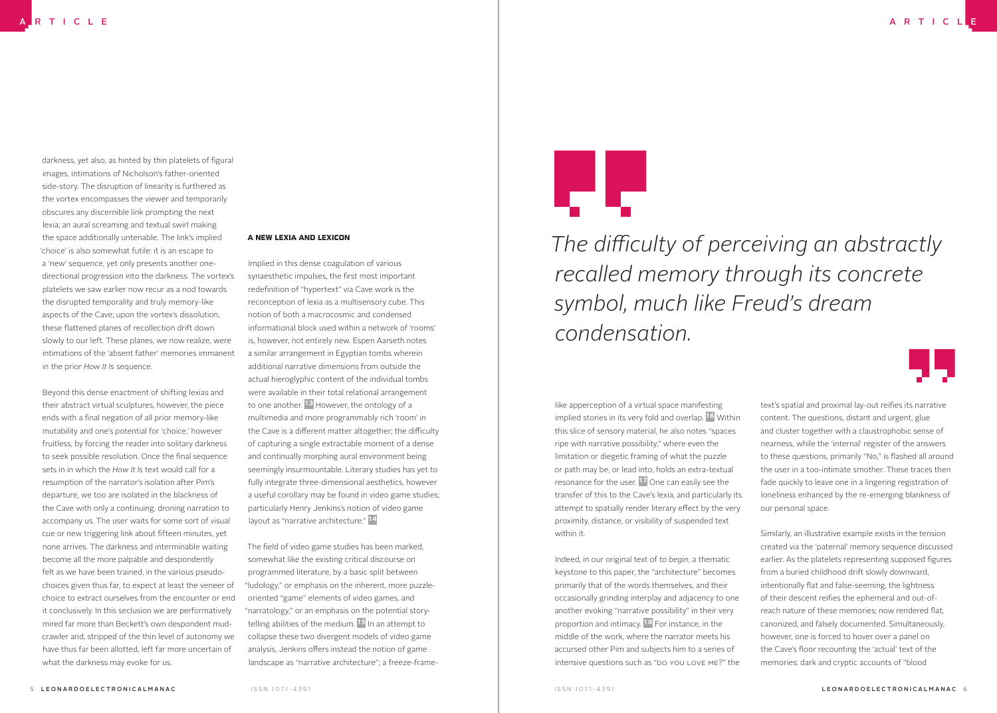darkness, yet also, as hinted by thin platelets of figural images, intimations of Nicholson's father-oriented side-story. The disruption of linearity is furthered as the vortex encompasses the viewer and temporarily obscures any discernible link prompting the next lexia; an aural screaming and textual swirl making the space additionally untenable. The link's implied 'choice' is also somewhat futile: it is an escape to a 'new' sequence, yet only presents another onedirectional progression into the darkness. The vortex's platelets we saw earlier now recur as a nod towards the disrupted temporality and truly memory-like aspects of the Cave; upon the vortex's dissolution, these flattened planes of recollection drift down slowly to our left. These planes, we now realize, were intimations of the 'absent father' memories immanent in the prior *How It Is* sequence.

Beyond this dense enactment of shifting lexias and their abstract virtual sculptures, however, the piece ends with a final negation of all prior memory-like mutability and one's potential for 'choice,' however fruitless, by forcing the reader into solitary darkness to seek possible resolution. Once the final sequence sets in in which the *How It Is* text would call for a resumption of the narrator's isolation after Pim's departure, we too are isolated in the blackness of the Cave with only a continuing, droning narration to accompany us. The user waits for some sort of visual cue or new triggering link about fifteen minutes, yet none arrives. The darkness and interminable waiting become all the more palpable and despondently felt as we have been trained, in the various pseudochoices given thus far, to expect at least the veneer of choice to extract ourselves from the encounter or end it conclusively. In this seclusion we are performatively mired far more than Beckett's own despondent mudcrawler and, stripped of the thin level of autonomy we have thus far been allotted, left far more uncertain of what the darkness may evoke for us.

#### A NEW LEXIA AND LEXICON

Implied in this dense coagulation of various synaesthetic impulses, the first most important redefinition of "hypertext" via Cave work is the reconception of lexia as a multisensory cube. This notion of both a macrocosmic and condensed informational block used within a network of 'rooms' is, however, not entirely new. Espen Aarseth notes a similar arrangement in Egyptian tombs wherein additional narrative dimensions from outside the actual hieroglyphic content of the individual tombs were available in their total relational arrangement to one another. <sup>13</sup> However, the ontology of a multimedia and more programmably rich 'room' in the Cave is a different matter altogether; the difficulty of capturing a single extractable moment of a dense and continually morphing aural environment being seemingly insurmountable. Literary studies has yet to fully integrate three-dimensional aesthetics, however a useful corollary may be found in video game studies; particularly Henry Jenkins's notion of video game layout as "narrative architecture." <sup>14</sup>

The field of video game studies has been marked, somewhat like the existing critical discourse on programmed literature, by a basic split between "ludology," or emphasis on the inherent, more puzzleoriented "game" elements of video games, and "narratology," or an emphasis on the potential storytelling abilities of the medium. <sup>15</sup> In an attempt to collapse these two divergent models of video game analysis, Jenkins offers instead the notion of game landscape as "narrative architecture"; a freeze-frame-



*The difficulty of perceiving an abstractly recalled memory through its concrete symbol, much like Freud's dream condensation.*

like apperception of a virtual space manifesting implied stories in its very fold and overlap. 16 Within this slice of sensory material, he also notes "spaces ripe with narrative possibility," where even the limitation or diegetic framing of what the puzzle or path may be, or lead into, holds an extra-textual resonance for the user. 17 One can easily see the transfer of this to the Cave's lexia, and particularly its attempt to spatially render literary effect by the very proximity, distance, or visibility of suspended text within it.

Indeed, in our original text of *to begin*, a thematic keystone to this paper, the "architecture" becomes primarily that of the words themselves, and their occasionally grinding interplay and adjacency to one another evoking "narrative possibility" in their very proportion and intimacy. 18 For instance, in the middle of the work, where the narrator meets his accursed other Pim and subjects him to a series of intensive questions such as "DO YOU LOVE ME?" the

text's spatial and proximal lay-out reifies its narrative content. The questions, distant and urgent, glue and cluster together with a claustrophobic sense of nearness, while the 'internal' register of the answers to these questions, primarily "No," is flashed all around the user in a too-intimate smother. These traces then fade quickly to leave one in a lingering registration of loneliness enhanced by the re-emerging blankness of our personal space.

Similarly, an illustrative example exists in the tension created via the 'paternal' memory sequence discussed earlier. As the platelets representing supposed figures from a buried childhood drift slowly downward, intentionally flat and false-seeming, the lightness of their descent reifies the ephemeral and out-ofreach nature of these memories; now rendered flat, canonized, and falsely documented. Simultaneously, however, one is forced to hover over a panel on the Cave's floor recounting the 'actual' text of the memories: dark and cryptic accounts of "blood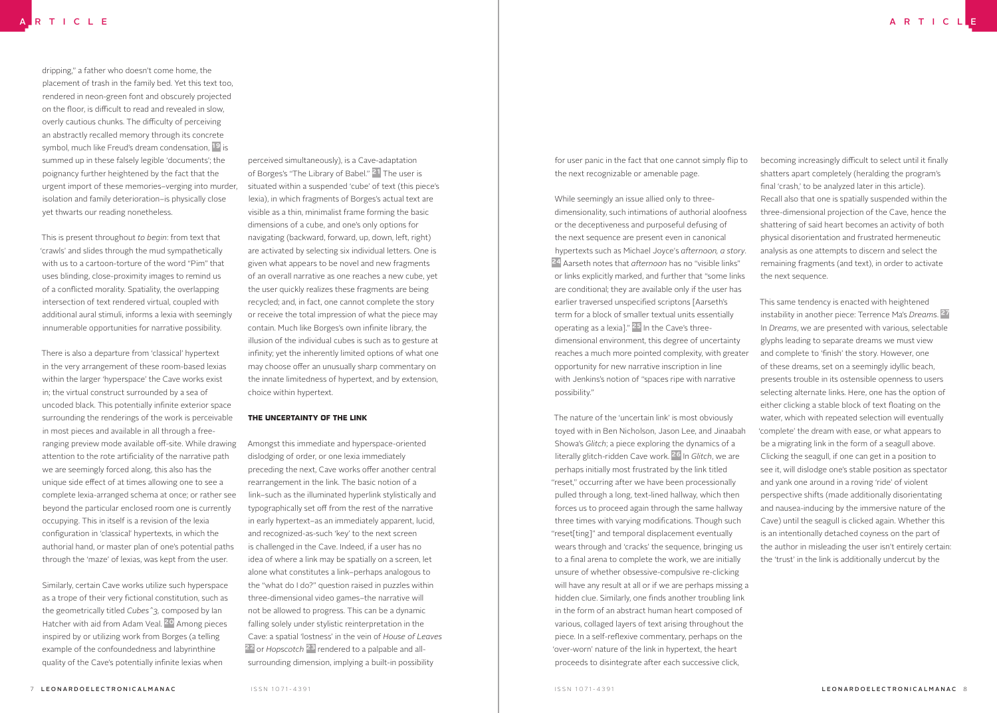dripping," a father who doesn't come home, the placement of trash in the family bed. Yet this text too, rendered in neon-green font and obscurely projected on the floor, is difficult to read and revealed in slow, overly cautious chunks. The difficulty of perceiving an abstractly recalled memory through its concrete symbol, much like Freud's dream condensation, <sup>19</sup> is summed up in these falsely legible 'documents'; the poignancy further heightened by the fact that the urgent import of these memories–verging into murder, isolation and family deterioration–is physically close yet thwarts our reading nonetheless.

This is present throughout *to begin*: from text that 'crawls' and slides through the mud sympathetically with us to a cartoon-torture of the word "Pim" that uses blinding, close-proximity images to remind us of a conflicted morality. Spatiality, the overlapping intersection of text rendered virtual, coupled with additional aural stimuli, informs a lexia with seemingly innumerable opportunities for narrative possibility.

There is also a departure from 'classical' hypertext in the very arrangement of these room-based lexias within the larger 'hyperspace' the Cave works exist in; the virtual construct surrounded by a sea of uncoded black. This potentially infinite exterior space surrounding the renderings of the work is perceivable in most pieces and available in all through a freeranging preview mode available off-site. While drawing attention to the rote artificiality of the narrative path we are seemingly forced along, this also has the unique side effect of at times allowing one to see a complete lexia-arranged schema at once; or rather see beyond the particular enclosed room one is currently occupying. This in itself is a revision of the lexia configuration in 'classical' hypertexts, in which the authorial hand, or master plan of one's potential paths through the 'maze' of lexias, was kept from the user.

Similarly, certain Cave works utilize such hyperspace as a trope of their very fictional constitution, such as the geometrically titled *Cubes^3,* composed by Ian Hatcher with aid from Adam Veal. 20 Among pieces inspired by or utilizing work from Borges (a telling example of the confoundedness and labyrinthine quality of the Cave's potentially infinite lexias when

perceived simultaneously), is a Cave-adaptation of Borges's "The Library of Babel." <sup>21</sup> The user is situated within a suspended 'cube' of text (this piece's lexia), in which fragments of Borges's actual text are visible as a thin, minimalist frame forming the basic dimensions of a cube, and one's only options for navigating (backward, forward, up, down, left, right) are activated by selecting six individual letters. One is given what appears to be novel and new fragments of an overall narrative as one reaches a new cube, yet the user quickly realizes these fragments are being recycled; and, in fact, one cannot complete the story or receive the total impression of what the piece may contain. Much like Borges's own infinite library, the illusion of the individual cubes is such as to gesture at infinity; yet the inherently limited options of what one may choose offer an unusually sharp commentary on the innate limitedness of hypertext, and by extension, choice within hypertext.

#### THE UNCERTAINTY OF THE LINK

Amongst this immediate and hyperspace-oriented dislodging of order, or one lexia immediately preceding the next, Cave works offer another central rearrangement in the link. The basic notion of a link–such as the illuminated hyperlink stylistically and typographically set off from the rest of the narrative in early hypertext–as an immediately apparent, lucid, and recognized-as-such 'key' to the next screen is challenged in the Cave. Indeed, if a user has no idea of where a link may be spatially on a screen, let alone what constitutes a link–perhaps analogous to the "what do I do?" question raised in puzzles within three-dimensional video games–the narrative will not be allowed to progress. This can be a dynamic falling solely under stylistic reinterpretation in the Cave: a spatial 'lostness' in the vein of *House of Leaves* 22 or *Hopscotch* 23 rendered to a palpable and allsurrounding dimension, implying a built-in possibility

for user panic in the fact that one cannot simply flip to the next recognizable or amenable page.

While seemingly an issue allied only to threedimensionality, such intimations of authorial aloofness or the deceptiveness and purposeful defusing of the next sequence are present even in canonical hypertexts such as Michael Joyce's *afternoon, a story*. 24 Aarseth notes that *afternoon* has no "visible links" or links explicitly marked, and further that "some links are conditional; they are available only if the user has earlier traversed unspecified scriptons [Aarseth's term for a block of smaller textual units essentially operating as a lexia]." 25 In the Cave's threedimensional environment, this degree of uncertainty reaches a much more pointed complexity, with greater opportunity for new narrative inscription in line with Jenkins's notion of "spaces ripe with narrative possibility."

The nature of the 'uncertain link' is most obviously toyed with in Ben Nicholson, Jason Lee, and Jinaabah Showa's *Glitch*; a piece exploring the dynamics of a literally glitch-ridden Cave work. 26 In *Glitch*, we are perhaps initially most frustrated by the link titled "reset," occurring after we have been processionally pulled through a long, text-lined hallway, which then forces us to proceed again through the same hallway three times with varying modifications. Though such "reset[ting]" and temporal displacement eventually wears through and 'cracks' the sequence, bringing us to a final arena to complete the work, we are initially unsure of whether obsessive-compulsive re-clicking will have any result at all or if we are perhaps missing a hidden clue. Similarly, one finds another troubling link in the form of an abstract human heart composed of various, collaged layers of text arising throughout the piece. In a self-reflexive commentary, perhaps on the 'over-worn' nature of the link in hypertext, the heart proceeds to disintegrate after each successive click,

becoming increasingly difficult to select until it finally shatters apart completely (heralding the program's final 'crash,' to be analyzed later in this article). Recall also that one is spatially suspended within the three-dimensional projection of the Cave, hence the shattering of said heart becomes an activity of both physical disorientation and frustrated hermeneutic analysis as one attempts to discern and select the remaining fragments (and text), in order to activate the next sequence.

This same tendency is enacted with heightened instability in another piece: Terrence Ma's *Dreams*. 27 In *Dreams*, we are presented with various, selectable glyphs leading to separate dreams we must view and complete to 'finish' the story. However, one of these dreams, set on a seemingly idyllic beach, presents trouble in its ostensible openness to users selecting alternate links. Here, one has the option of either clicking a stable block of text floating on the water, which with repeated selection will eventually 'complete' the dream with ease, or what appears to be a migrating link in the form of a seagull above. Clicking the seagull, if one can get in a position to see it, will dislodge one's stable position as spectator and yank one around in a roving 'ride' of violent perspective shifts (made additionally disorientating and nausea-inducing by the immersive nature of the Cave) until the seagull is clicked again. Whether this is an intentionally detached coyness on the part of the author in misleading the user isn't entirely certain: the 'trust' in the link is additionally undercut by the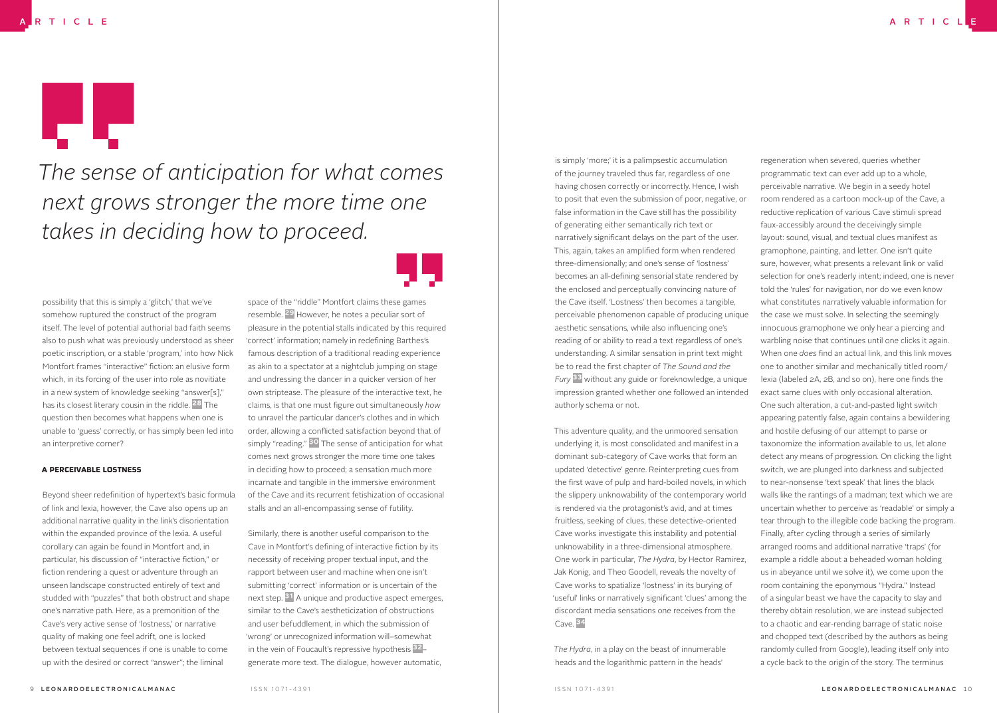*The sense of anticipation for what comes next grows stronger the more time one takes in deciding how to proceed.*

possibility that this is simply a 'glitch,' that we've somehow ruptured the construct of the program itself. The level of potential authorial bad faith seems also to push what was previously understood as sheer poetic inscription, or a stable 'program,' into how Nick Montfort frames "interactive" fiction: an elusive form which, in its forcing of the user into role as novitiate in a new system of knowledge seeking "answer[s]," has its closest literary cousin in the riddle.<sup>28</sup> The question then becomes what happens when one is unable to 'guess' correctly, or has simply been led into an interpretive corner?

#### A PERCEIVABLE LOSTNESS

Beyond sheer redefinition of hypertext's basic formula of link and lexia, however, the Cave also opens up an additional narrative quality in the link's disorientation within the expanded province of the lexia. A useful corollary can again be found in Montfort and, in particular, his discussion of "interactive fiction," or fiction rendering a quest or adventure through an unseen landscape constructed entirely of text and studded with "puzzles" that both obstruct and shape one's narrative path. Here, as a premonition of the Cave's very active sense of 'lostness,' or narrative quality of making one feel adrift, one is locked between textual sequences if one is unable to come up with the desired or correct "answer"; the liminal

space of the "riddle" Montfort claims these games resemble. 29 However, he notes a peculiar sort of pleasure in the potential stalls indicated by this required 'correct' information; namely in redefining Barthes's famous description of a traditional reading experience as akin to a spectator at a nightclub jumping on stage and undressing the dancer in a quicker version of her own striptease. The pleasure of the interactive text, he claims, is that one must figure out simultaneously *how* to unravel the particular dancer's clothes and in which order, allowing a conflicted satisfaction beyond that of simply "reading." <sup>30</sup> The sense of anticipation for what comes next grows stronger the more time one takes in deciding how to proceed; a sensation much more incarnate and tangible in the immersive environment of the Cave and its recurrent fetishization of occasional stalls and an all-encompassing sense of futility.

Similarly, there is another useful comparison to the Cave in Montfort's defining of interactive fiction by its necessity of receiving proper textual input, and the rapport between user and machine when one isn't submitting 'correct' information or is uncertain of the next step. 31 A unique and productive aspect emerges, similar to the Cave's aestheticization of obstructions and user befuddlement, in which the submission of 'wrong' or unrecognized information will–somewhat in the vein of Foucault's repressive hypothesis 32– generate more text. The dialogue, however automatic,

is simply 'more;' it is a palimpsestic accumulation of the journey traveled thus far, regardless of one having chosen correctly or incorrectly. Hence, I wish to posit that even the submission of poor, negative, or false information in the Cave still has the possibility of generating either semantically rich text or narratively significant delays on the part of the user. This, again, takes an amplified form when rendered three-dimensionally; and one's sense of 'lostness' becomes an all-defining sensorial state rendered by the enclosed and perceptually convincing nature of the Cave itself. 'Lostness' then becomes a tangible, perceivable phenomenon capable of producing unique aesthetic sensations, while also influencing one's reading of or ability to read a text regardless of one's understanding. A similar sensation in print text might be to read the first chapter of *The Sound and the Fury* 33 without any guide or foreknowledge, a unique impression granted whether one followed an intended authorly schema or not.

This adventure quality, and the unmoored sensation underlying it, is most consolidated and manifest in a dominant sub-category of Cave works that form an updated 'detective' genre. Reinterpreting cues from the first wave of pulp and hard-boiled novels, in which the slippery unknowability of the contemporary world is rendered via the protagonist's avid, and at times fruitless, seeking of clues, these detective-oriented Cave works investigate this instability and potential unknowability in a three-dimensional atmosphere. One work in particular, *The Hydra*, by Hector Ramirez, Jak Konig, and Theo Goodell, reveals the novelty of Cave works to spatialize 'lostness' in its burying of 'useful' links or narratively significant 'clues' among the discordant media sensations one receives from the Cave. 34

*The Hydra*, in a play on the beast of innumerable heads and the logarithmic pattern in the heads'

regeneration when severed, queries whether programmatic text can ever add up to a whole, perceivable narrative. We begin in a seedy hotel room rendered as a cartoon mock-up of the Cave, a reductive replication of various Cave stimuli spread faux-accessibly around the deceivingly simple layout: sound, visual, and textual clues manifest as gramophone, painting, and letter. One isn't quite sure, however, what presents a relevant link or valid selection for one's readerly intent; indeed, one is never told the 'rules' for navigation, nor do we even know what constitutes narratively valuable information for the case we must solve. In selecting the seemingly innocuous gramophone we only hear a piercing and warbling noise that continues until one clicks it again. When one *does* find an actual link, and this link moves one to another similar and mechanically titled room/ lexia (labeled 2A, 2B, and so on), here one finds the exact same clues with only occasional alteration. One such alteration, a cut-and-pasted light switch appearing patently false, again contains a bewildering and hostile defusing of our attempt to parse or taxonomize the information available to us, let alone detect any means of progression. On clicking the light switch, we are plunged into darkness and subjected to near-nonsense 'text speak' that lines the black walls like the rantings of a madman; text which we are uncertain whether to perceive as 'readable' or simply a tear through to the illegible code backing the program. Finally, after cycling through a series of similarly arranged rooms and additional narrative 'traps' (for example a riddle about a beheaded woman holding us in abeyance until we solve it), we come upon the room containing the eponymous "Hydra." Instead of a singular beast we have the capacity to slay and thereby obtain resolution, we are instead subjected to a chaotic and ear-rending barrage of static noise and chopped text (described by the authors as being randomly culled from Google), leading itself only into

a cycle back to the origin of the story. The terminus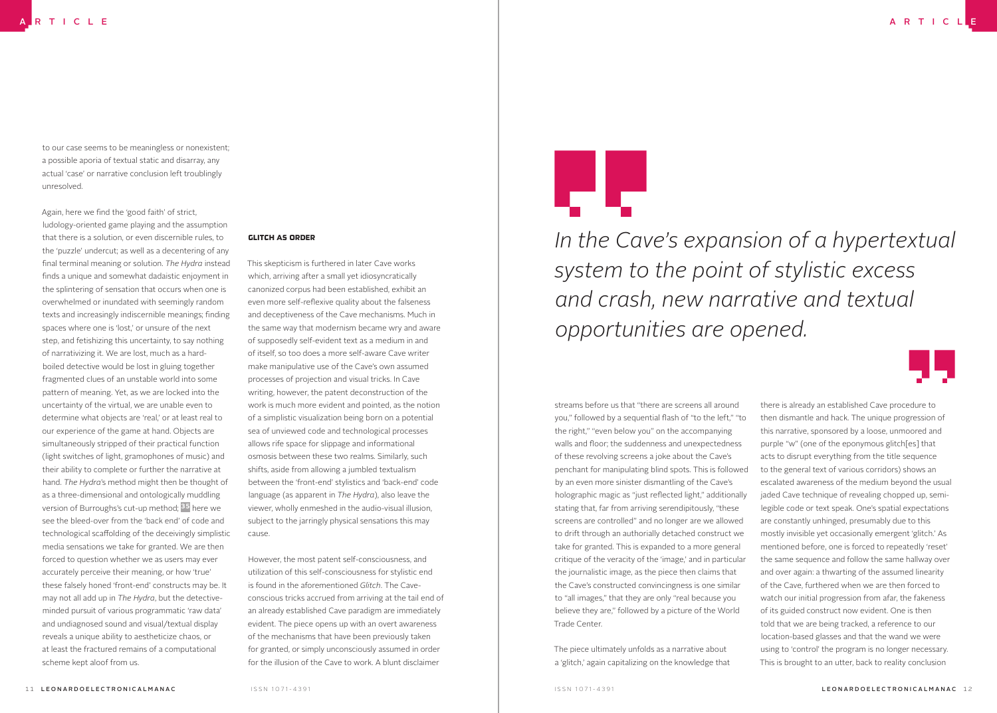to our case seems to be meaningless or nonexistent; a possible aporia of textual static and disarray, any actual 'case' or narrative conclusion left troublingly unresolved.

Again, here we find the 'good faith' of strict, ludology-oriented game playing and the assumption that there is a solution, or even discernible rules, to the 'puzzle' undercut; as well as a decentering of any final terminal meaning or solution. *The Hydra* instead finds a unique and somewhat dadaistic enjoyment in the splintering of sensation that occurs when one is overwhelmed or inundated with seemingly random texts and increasingly indiscernible meanings; finding spaces where one is 'lost,' or unsure of the next step, and fetishizing this uncertainty, to say nothing of narrativizing it. We are lost, much as a hardboiled detective would be lost in gluing together fragmented clues of an unstable world into some pattern of meaning. Yet, as we are locked into the uncertainty of the virtual, we are unable even to determine what objects are 'real,' or at least real to our experience of the game at hand. Objects are simultaneously stripped of their practical function (light switches of light, gramophones of music) and their ability to complete or further the narrative at hand. *The Hydra*'s method might then be thought of as a three-dimensional and ontologically muddling version of Burroughs's cut-up method; 35 here we see the bleed-over from the 'back end' of code and technological scaffolding of the deceivingly simplistic media sensations we take for granted. We are then forced to question whether we as users may ever accurately perceive their meaning, or how 'true' these falsely honed 'front-end' constructs may be. It may not all add up in *The Hydra*, but the detectiveminded pursuit of various programmatic 'raw data' and undiagnosed sound and visual/textual display reveals a unique ability to aestheticize chaos, or at least the fractured remains of a computational scheme kept aloof from us.

#### GLITCH AS ORDER

This skepticism is furthered in later Cave works which, arriving after a small yet idiosyncratically canonized corpus had been established, exhibit an even more self-reflexive quality about the falseness and deceptiveness of the Cave mechanisms. Much in the same way that modernism became wry and aware of supposedly self-evident text as a medium in and of itself, so too does a more self-aware Cave writer make manipulative use of the Cave's own assumed processes of projection and visual tricks. In Cave writing, however, the patent deconstruction of the work is much more evident and pointed, as the notion of a simplistic visualization being born on a potential sea of unviewed code and technological processes allows rife space for slippage and informational osmosis between these two realms. Similarly, such shifts, aside from allowing a jumbled textualism between the 'front-end' stylistics and 'back-end' code language (as apparent in *The Hydra*), also leave the viewer, wholly enmeshed in the audio-visual illusion, subject to the jarringly physical sensations this may cause.

However, the most patent self-consciousness, and utilization of this self-consciousness for stylistic end is found in the aforementioned *Glitch*. The Caveconscious tricks accrued from arriving at the tail end of an already established Cave paradigm are immediately evident. The piece opens up with an overt awareness of the mechanisms that have been previously taken for granted, or simply unconsciously assumed in order for the illusion of the Cave to work. A blunt disclaimer



*In the Cave's expansion of a hypertextual system to the point of stylistic excess and crash, new narrative and textual opportunities are opened.*

streams before us that "there are screens all around you," followed by a sequential flash of "to the left," "to the right," "even below you" on the accompanying walls and floor; the suddenness and unexpectedness of these revolving screens a joke about the Cave's penchant for manipulating blind spots. This is followed by an even more sinister dismantling of the Cave's holographic magic as "just reflected light," additionally stating that, far from arriving serendipitously, "these screens are controlled" and no longer are we allowed to drift through an authorially detached construct we take for granted. This is expanded to a more general critique of the veracity of the 'image,' and in particular the journalistic image, as the piece then claims that the Cave's constructed convincingness is one similar to "all images," that they are only "real because you believe they are," followed by a picture of the World Trade Center.

The piece ultimately unfolds as a narrative about a 'glitch,' again capitalizing on the knowledge that

there is already an established Cave procedure to then dismantle and hack. The unique progression of this narrative, sponsored by a loose, unmoored and purple "w" (one of the eponymous glitch[es] that acts to disrupt everything from the title sequence to the general text of various corridors) shows an escalated awareness of the medium beyond the usual jaded Cave technique of revealing chopped up, semilegible code or text speak. One's spatial expectations are constantly unhinged, presumably due to this mostly invisible yet occasionally emergent 'glitch.' As mentioned before, one is forced to repeatedly 'reset' the same sequence and follow the same hallway over and over again: a thwarting of the assumed linearity of the Cave, furthered when we are then forced to watch our initial progression from afar, the fakeness of its guided construct now evident. One is then told that we are being tracked, a reference to our location-based glasses and that the wand we were using to 'control' the program is no longer necessary. This is brought to an utter, back to reality conclusion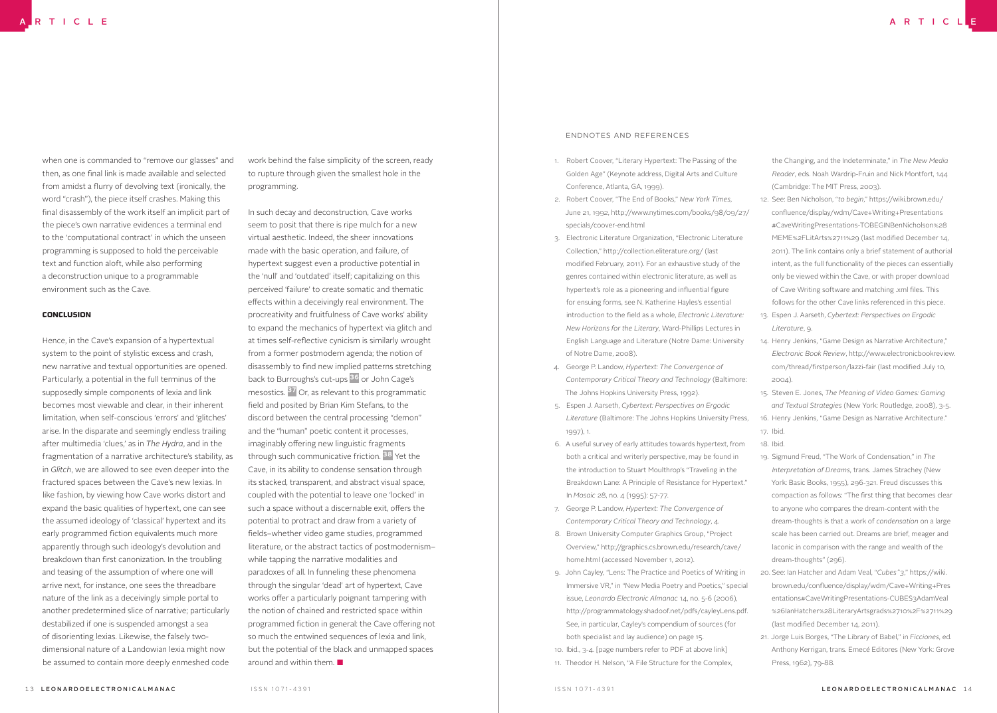when one is commanded to "remove our glasses" and then, as one final link is made available and selected from amidst a flurry of devolving text (ironically, the word "crash"), the piece itself crashes. Making this final disassembly of the work itself an implicit part of the piece's own narrative evidences a terminal end to the 'computational contract' in which the unseen programming is supposed to hold the perceivable text and function aloft, while also performing a deconstruction unique to a programmable environment such as the Cave.

#### CONCLUSION

Hence, in the Cave's expansion of a hypertextual system to the point of stylistic excess and crash, new narrative and textual opportunities are opened. Particularly, a potential in the full terminus of the supposedly simple components of lexia and link becomes most viewable and clear, in their inherent limitation, when self-conscious 'errors' and 'glitches' arise. In the disparate and seemingly endless trailing after multimedia 'clues,' as in *The Hydra*, and in the fragmentation of a narrative architecture's stability, as in *Glitch*, we are allowed to see even deeper into the fractured spaces between the Cave's new lexias. In like fashion, by viewing how Cave works distort and expand the basic qualities of hypertext, one can see the assumed ideology of 'classical' hypertext and its early programmed fiction equivalents much more apparently through such ideology's devolution and breakdown than first canonization. In the troubling and teasing of the assumption of where one will arrive next, for instance, one sees the threadbare nature of the link as a deceivingly simple portal to another predetermined slice of narrative; particularly destabilized if one is suspended amongst a sea of disorienting lexias. Likewise, the falsely twodimensional nature of a Landowian lexia might now be assumed to contain more deeply enmeshed code

work behind the false simplicity of the screen, ready to rupture through given the smallest hole in the programming.

In such decay and deconstruction, Cave works seem to posit that there is ripe mulch for a new virtual aesthetic. Indeed, the sheer innovations made with the basic operation, and failure, of hypertext suggest even a productive potential in the 'null' and 'outdated' itself; capitalizing on this perceived 'failure' to create somatic and thematic effects within a deceivingly real environment. The procreativity and fruitfulness of Cave works' ability to expand the mechanics of hypertext via glitch and at times self-reflective cynicism is similarly wrought from a former postmodern agenda; the notion of disassembly to find new implied patterns stretching back to Burroughs's cut-ups 36 or John Cage's mesostics. 37 Or, as relevant to this programmatic field and posited by Brian Kim Stefans, to the discord between the central processing "demon" and the "human" poetic content it processes, imaginably offering new linguistic fragments through such communicative friction. 38 Yet the Cave, in its ability to condense sensation through its stacked, transparent, and abstract visual space, coupled with the potential to leave one 'locked' in such a space without a discernable exit, offers the potential to protract and draw from a variety of fields–whether video game studies, programmed literature, or the abstract tactics of postmodernism– while tapping the narrative modalities and paradoxes of all. In funneling these phenomena through the singular 'dead' art of hypertext, Cave works offer a particularly poignant tampering with the notion of chained and restricted space within programmed fiction in general: the Cave offering not so much the entwined sequences of lexia and link, but the potential of the black and unmapped spaces around and within them. ■

#### Endnotes and References

- 1. Robert Coover, "Literary Hypertext: The Passing of the Golden Age" (Keynote address, Digital Arts and Culture Conference, Atlanta, GA, 1999).
- 2. Robert Coover, "The End of Books," *New York Times*, June 21, 1992, http://www.nytimes.com/books/98/09/27/ specials/coover-end.html
- 3. Electronic Literature Organization, "Electronic Literature Collection," http://collection.eliterature.org/ (last modified February, 2011). For an exhaustive study of the genres contained within electronic literature, as well as hypertext's role as a pioneering and influential figure for ensuing forms, see N. Katherine Hayles's essential introduction to the field as a whole, *Electronic Literature: New Horizons for the Literary*, Ward-Phillips Lectures in English Language and Literature (Notre Dame: University of Notre Dame, 2008).
- 4. George P. Landow, *Hypertext: The Convergence of Contemporary Critical Theory and Technology* (Baltimore: The Johns Hopkins University Press, 1992).
- 5. Espen J. Aarseth, *Cybertext: Perspectives on Ergodic Literature* (Baltimore: The Johns Hopkins University Press, 1997), 1.
- 6. A useful survey of early attitudes towards hypertext, from both a critical and writerly perspective, may be found in the introduction to Stuart Moulthrop's "Traveling in the Breakdown Lane: A Principle of Resistance for Hypertext." In *Mosaic* 28, no. 4 (1995): 57-77.
- 7. George P. Landow, *Hypertext: The Convergence of Contemporary Critical Theory and Technology*, 4.
- 8. Brown University Computer Graphics Group, "Project Overview," http://graphics.cs.brown.edu/research/cave/ home.html (accessed November 1, 2012).
- 9. John Cayley, "Lens: The Practice and Poetics of Writing in Immersive VR," in "New Media Poetry and Poetics," special issue, *Leonardo Electronic Almanac* 14, no. 5-6 (2006), http://programmatology.shadoof.net/pdfs/cayleyLens.pdf. See, in particular, Cayley's compendium of sources (for both specialist and lay audience) on page 15.
- 10. Ibid., 3-4. [page numbers refer to PDF at above link] 11. Theodor H. Nelson, "A File Structure for the Complex,

the Changing, and the Indeterminate," in *The New Media Reader*, eds. Noah Wardrip-Fruin and Nick Montfort, 144 (Cambridge: The MIT Press, 2003).

- 12. See: Ben Nicholson, "*to begin*," https://wiki.brown.edu/ confluence/display/wdm/Cave+Writing+Presentations #CaveWritingPresentations-TOBEGINBenNicholson%28 MEME%2FLitArts%2711%29 (last modified December 14, 2011). The link contains only a brief statement of authorial intent, as the full functionality of the pieces can essentially only be viewed within the Cave, or with proper download of Cave Writing software and matching .xml files. This follows for the other Cave links referenced in this piece.
- 13. Espen J. Aarseth, *Cybertext: Perspectives on Ergodic Literature*, 9.
- 14. Henry Jenkins, "Game Design as Narrative Architecture," *Electronic Book Review*, http://www.electronicbookreview. com/thread/firstperson/lazzi-fair (last modified July 10, 2004).
- 15. Steven E. Jones, *The Meaning of Video Games: Gaming and Textual Strategies* (New York: Routledge, 2008), 3-5. 16. Henry Jenkins, "Game Design as Narrative Architecture." 17. Ibid.
- 18. Ibid.
- 19. Sigmund Freud, "The Work of Condensation," in *The Interpretation of Dreams*, trans. James Strachey (New York: Basic Books, 1955), 296-321. Freud discusses this compaction as follows: "The first thing that becomes clear to anyone who compares the dream-content with the dream-thoughts is that a work of *condensation* on a large scale has been carried out. Dreams are brief, meager and laconic in comparison with the range and wealth of the dream-thoughts" (296).
- 20. See: Ian Hatcher and Adam Veal, "*Cubes^3*," https://wiki. brown.edu/confluence/display/wdm/Cave+Writing+Pres entations#CaveWritingPresentations-CUBES3AdamVeal %26IanHatcher%28LiteraryArtsgrads%2710%2F%2711%29 (last modified December 14, 2011).
- 21. Jorge Luis Borges, "The Library of Babel," in *Ficciones*, ed. Anthony Kerrigan, trans. Emecé Editores (New York: Grove Press, 1962), 79-88.